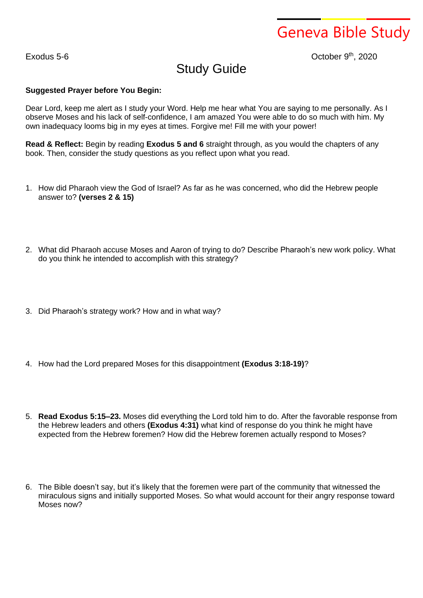Geneva Bible Study

 $Exodus 5-6$ 

th , 2020

## Study Guide

## **Suggested Prayer before You Begin:**

Dear Lord, keep me alert as I study your Word. Help me hear what You are saying to me personally. As I observe Moses and his lack of self-confidence, I am amazed You were able to do so much with him. My own inadequacy looms big in my eyes at times. Forgive me! Fill me with your power!

**Read & Reflect:** Begin by reading **Exodus 5 and 6** straight through, as you would the chapters of any book. Then, consider the study questions as you reflect upon what you read.

- 1. How did Pharaoh view the God of Israel? As far as he was concerned, who did the Hebrew people answer to? **(verses 2 & 15)**
- 2. What did Pharaoh accuse Moses and Aaron of trying to do? Describe Pharaoh's new work policy. What do you think he intended to accomplish with this strategy?
- 3. Did Pharaoh's strategy work? How and in what way?
- 4. How had the Lord prepared Moses for this disappointment **(Exodus 3:18-19)**?
- 5. **Read Exodus 5:15–23.** Moses did everything the Lord told him to do. After the favorable response from the Hebrew leaders and others **(Exodus 4:31)** what kind of response do you think he might have expected from the Hebrew foremen? How did the Hebrew foremen actually respond to Moses?
- 6. The Bible doesn't say, but it's likely that the foremen were part of the community that witnessed the miraculous signs and initially supported Moses. So what would account for their angry response toward Moses now?